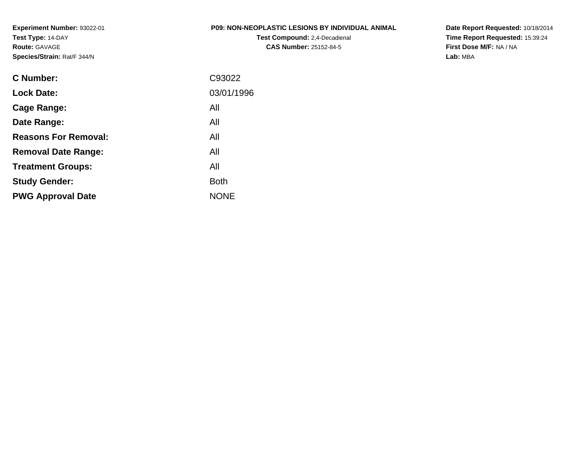**Experiment Number:** 93022-01**Test Type:** 14-DAY**Route:** GAVAGE**Species/Strain:** Rat/F 344/N

# **P09: NON-NEOPLASTIC LESIONS BY INDIVIDUAL ANIMAL**

**Test Compound:** 2,4-Decadienal **CAS Number:** 25152-84-5

**Date Report Requested:** 10/18/2014 **Time Report Requested:** 15:39:24**First Dose M/F:** NA / NA**Lab:** MBA

| C93022      |
|-------------|
| 03/01/1996  |
| All         |
| All         |
| All         |
| All         |
| All         |
| <b>Both</b> |
| <b>NONE</b> |
|             |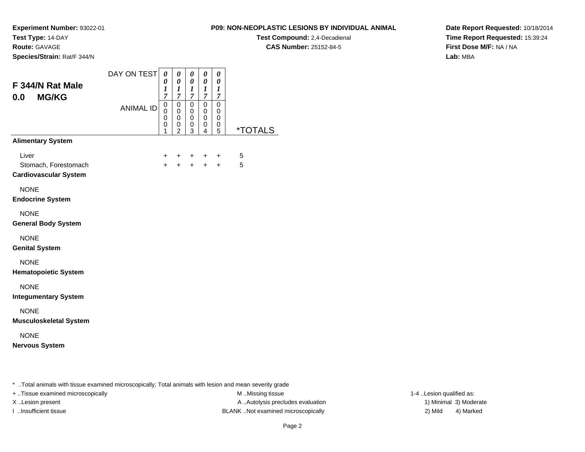**Route:** GAVAGE

**Species/Strain:** Rat/F 344/N

# **P09: NON-NEOPLASTIC LESIONS BY INDIVIDUAL ANIMAL**

**Test Compound:** 2,4-Decadienal **CAS Number:** 25152-84-5

**Date Report Requested:** 10/18/2014**Time Report Requested:** 15:39:24**First Dose M/F:** NA / NA**Lab:** MBA

| F 344/N Rat Male<br><b>MG/KG</b><br>0.0                       | DAY ON TEST      | 0<br>0<br>1<br>$\overline{7}$ | 0<br>0<br>$\boldsymbol{l}$<br>$\boldsymbol{7}$ | 0<br>0<br>$\boldsymbol{l}$<br>$\boldsymbol{7}$ | $\boldsymbol{\theta}$<br>0<br>$\boldsymbol{l}$<br>7 | 0<br>$\pmb{\theta}$<br>$\boldsymbol{l}$<br>$\overline{7}$ |                       |
|---------------------------------------------------------------|------------------|-------------------------------|------------------------------------------------|------------------------------------------------|-----------------------------------------------------|-----------------------------------------------------------|-----------------------|
|                                                               | <b>ANIMAL ID</b> | 0<br>0<br>0<br>0<br>1         | $\mathsf 0$<br>0<br>0<br>0<br>$\overline{2}$   | $\pmb{0}$<br>0<br>$\pmb{0}$<br>0<br>3          | 0<br>0<br>$\mathbf 0$<br>0<br>4                     | 0<br>0<br>$\mathbf 0$<br>0<br>5                           | <i><b>*TOTALS</b></i> |
| <b>Alimentary System</b>                                      |                  |                               |                                                |                                                |                                                     |                                                           |                       |
| Liver<br>Stomach, Forestomach<br><b>Cardiovascular System</b> |                  | $\pm$<br>$\ddot{}$            | $+$<br>$+$                                     | $\pm$<br>$+$                                   | $\pm$<br>$+$                                        | $\ddot{}$<br>$+$                                          | 5<br>5                |
| <b>NONE</b><br><b>Endocrine System</b>                        |                  |                               |                                                |                                                |                                                     |                                                           |                       |
| <b>NONE</b><br><b>General Body System</b>                     |                  |                               |                                                |                                                |                                                     |                                                           |                       |
| <b>NONE</b><br><b>Genital System</b>                          |                  |                               |                                                |                                                |                                                     |                                                           |                       |
| <b>NONE</b><br><b>Hematopoietic System</b>                    |                  |                               |                                                |                                                |                                                     |                                                           |                       |
| <b>NONE</b><br><b>Integumentary System</b>                    |                  |                               |                                                |                                                |                                                     |                                                           |                       |
| <b>NONE</b><br><b>Musculoskeletal System</b>                  |                  |                               |                                                |                                                |                                                     |                                                           |                       |
| <b>NONE</b><br><b>Nervous System</b>                          |                  |                               |                                                |                                                |                                                     |                                                           |                       |

\* ..Total animals with tissue examined microscopically; Total animals with lesion and mean severity grade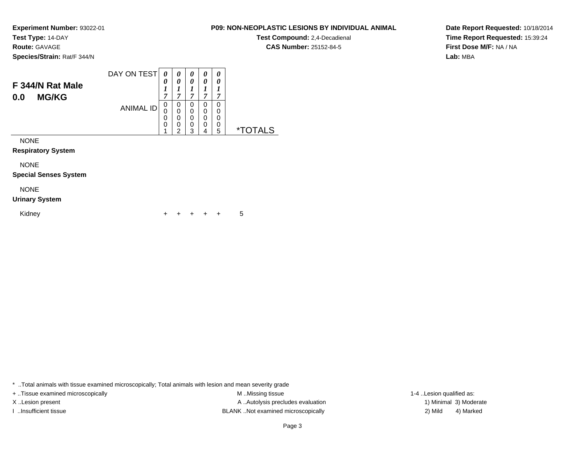**Experiment Number:** 93022-01

**Route:** GAVAGE

**Species/Strain:** Rat/F 344/N

### DAY ON TEST**F 344/N Rat Male0.0 MG/KG**ANIMAL ID*0 0 1 7*0<br>0<br>0<br>0<br>1 *0 0 1 7*0<br>0<br>0<br>0<br>2 *0 0 1 7* 0 0 0 0 3*0 0 1 7* 0 0 0 0 4*0 0 1 7* 0 00<br>0<br>5 5 \*TOTALS

NONE

**Respiratory System**

NONE

**Special Senses System**

# NONE

# **Urinary System**

Kidney $\mathsf y$ <sup>+</sup> <sup>+</sup> <sup>+</sup> + 5

\* ..Total animals with tissue examined microscopically; Total animals with lesion and mean severity grade

+ ..Tissue examined microscopically examined microscopically examined as:  $M$  ..Missing tissue 1-4 ..Lesion qualified as: X..Lesion present **A ..Autolysis precludes evaluation** A ..Autolysis precludes evaluation 1) Minimal 3) Moderate I ..Insufficient tissue BLANK ..Not examined microscopically 2) Mild 4) Marked

**Date Report Requested:** 10/18/2014**Time Report Requested:** 15:39:24**First Dose M/F:** NA / NA**Lab:** MBA

# **P09: NON-NEOPLASTIC LESIONS BY INDIVIDUAL ANIMAL**

**Test Compound:** 2,4-Decadienal **CAS Number:** 25152-84-5

**Test Type:** 14-DAY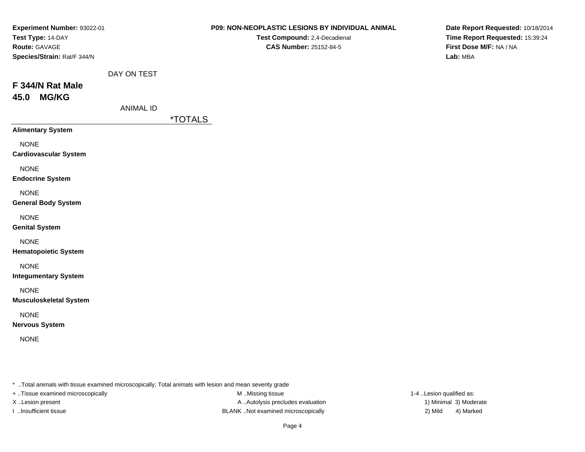| Experiment Number: 93022-01<br>Test Type: 14-DAY<br>Route: GAVAGE<br>Species/Strain: Rat/F 344/N<br>F 344/N Rat Male | DAY ON TEST      |                       | P09: NON-NEOPLASTIC LESIONS BY INDIVIDUAL ANIMAL<br>Test Compound: 2,4-Decadienal<br>CAS Number: 25152-84-5 | Date Report Requested: 10/18/2014<br>Time Report Requested: 15:39:24<br>First Dose M/F: NA / NA<br>Lab: MBA |
|----------------------------------------------------------------------------------------------------------------------|------------------|-----------------------|-------------------------------------------------------------------------------------------------------------|-------------------------------------------------------------------------------------------------------------|
| 45.0 MG/KG                                                                                                           | <b>ANIMAL ID</b> | <i><b>*TOTALS</b></i> |                                                                                                             |                                                                                                             |
| <b>Alimentary System</b>                                                                                             |                  |                       |                                                                                                             |                                                                                                             |
| <b>NONE</b><br><b>Cardiovascular System</b>                                                                          |                  |                       |                                                                                                             |                                                                                                             |
| <b>NONE</b><br><b>Endocrine System</b>                                                                               |                  |                       |                                                                                                             |                                                                                                             |
| <b>NONE</b><br><b>General Body System</b>                                                                            |                  |                       |                                                                                                             |                                                                                                             |
| <b>NONE</b><br><b>Genital System</b>                                                                                 |                  |                       |                                                                                                             |                                                                                                             |
| <b>NONE</b><br><b>Hematopoietic System</b>                                                                           |                  |                       |                                                                                                             |                                                                                                             |
| <b>NONE</b><br><b>Integumentary System</b>                                                                           |                  |                       |                                                                                                             |                                                                                                             |
| <b>NONE</b><br><b>Musculoskeletal System</b>                                                                         |                  |                       |                                                                                                             |                                                                                                             |
| <b>NONE</b><br><b>Nervous System</b>                                                                                 |                  |                       |                                                                                                             |                                                                                                             |
| <b>NONE</b>                                                                                                          |                  |                       |                                                                                                             |                                                                                                             |
|                                                                                                                      |                  |                       |                                                                                                             |                                                                                                             |

+ ..Tissue examined microscopically

M ..Missing tissue X..Lesion present **A ..Autolysis precludes evaluation** A ..Autolysis precludes evaluation 1) Minimal 3) Moderate I ..Insufficient tissue BLANK ..Not examined microscopically 2) Mild 4) Marked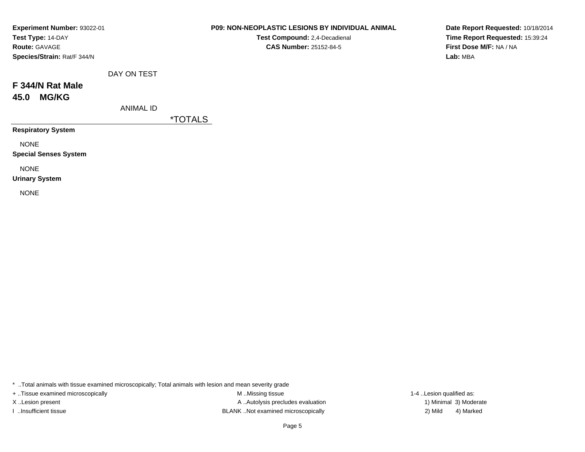| <b>Experiment Number: 93022-01</b> |                  |                       | <b>P09: NON-NEOPLASTIC LESIONS BY INDIVIDUAL ANIMAL</b> |
|------------------------------------|------------------|-----------------------|---------------------------------------------------------|
| Test Type: 14-DAY                  |                  |                       | Test Compound: 2,4-Decadienal                           |
| <b>Route: GAVAGE</b>               |                  |                       | <b>CAS Number: 25152-84-5</b>                           |
| Species/Strain: Rat/F 344/N        |                  |                       |                                                         |
|                                    | DAY ON TEST      |                       |                                                         |
| F 344/N Rat Male                   |                  |                       |                                                         |
| <b>MG/KG</b><br>45.0               |                  |                       |                                                         |
|                                    | <b>ANIMAL ID</b> |                       |                                                         |
|                                    |                  | <i><b>*TOTALS</b></i> |                                                         |
| <b>Respiratory System</b>          |                  |                       |                                                         |
| <b>NONE</b>                        |                  |                       |                                                         |
| <b>Special Senses System</b>       |                  |                       |                                                         |
| <b>NONE</b>                        |                  |                       |                                                         |
| <b>Urinary System</b>              |                  |                       |                                                         |
| <b>NONE</b>                        |                  |                       |                                                         |

M ..Missing tissue + ..Tissue examined microscopically **M** ..Missing tissue M ..Missing tissue 1-4 ..Lesion qualified as: X..Lesion present **A ..Autolysis precludes evaluation** A ..Autolysis precludes evaluation 1) Minimal 3) Moderate I ..Insufficient tissue 2) Mild 2 and the BLANK ..Not examined microscopically 2 and 42 Mild

4) Marked

**Date Report Requested:** 10/18/2014**Time Report Requested:** 15:39:24**First Dose M/F:** NA / NA**Lab:** MBA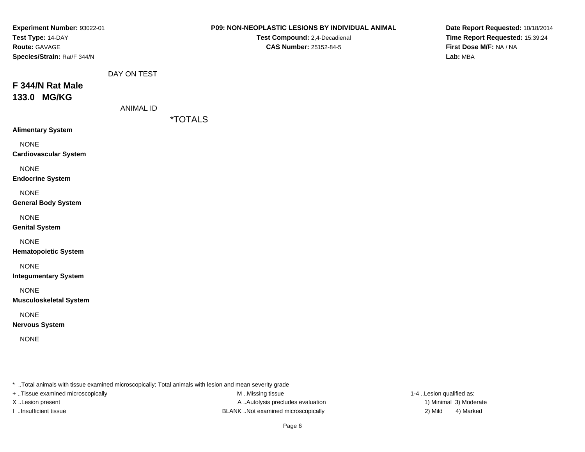| Experiment Number: 93022-01<br>Test Type: 14-DAY<br>Route: GAVAGE<br>Species/Strain: Rat/F 344/N |                                 | P09: NON-NEOPLASTIC LESIONS BY INDIVIDUAL ANIMAL<br>Test Compound: 2,4-Decadienal<br><b>CAS Number: 25152-84-5</b> | Date Report Requested: 10/18/2014<br>Time Report Requested: 15:39:24<br>First Dose M/F: NA / NA<br>Lab: MBA |
|--------------------------------------------------------------------------------------------------|---------------------------------|--------------------------------------------------------------------------------------------------------------------|-------------------------------------------------------------------------------------------------------------|
| F 344/N Rat Male<br>133.0 MG/KG                                                                  | DAY ON TEST<br><b>ANIMAL ID</b> | <i><b>*TOTALS</b></i>                                                                                              |                                                                                                             |
| <b>Alimentary System</b>                                                                         |                                 |                                                                                                                    |                                                                                                             |
| <b>NONE</b><br><b>Cardiovascular System</b>                                                      |                                 |                                                                                                                    |                                                                                                             |
| <b>NONE</b><br><b>Endocrine System</b>                                                           |                                 |                                                                                                                    |                                                                                                             |
| <b>NONE</b><br><b>General Body System</b>                                                        |                                 |                                                                                                                    |                                                                                                             |
| <b>NONE</b><br><b>Genital System</b>                                                             |                                 |                                                                                                                    |                                                                                                             |
| <b>NONE</b><br><b>Hematopoietic System</b>                                                       |                                 |                                                                                                                    |                                                                                                             |
| <b>NONE</b><br><b>Integumentary System</b>                                                       |                                 |                                                                                                                    |                                                                                                             |
| <b>NONE</b><br><b>Musculoskeletal System</b>                                                     |                                 |                                                                                                                    |                                                                                                             |
| <b>NONE</b><br><b>Nervous System</b>                                                             |                                 |                                                                                                                    |                                                                                                             |
| <b>NONE</b>                                                                                      |                                 |                                                                                                                    |                                                                                                             |
|                                                                                                  |                                 |                                                                                                                    |                                                                                                             |

+ ..Tissue examined microscopically

M ..Missing tissue X..Lesion present **A ..Autolysis precludes evaluation** A ..Autolysis precludes evaluation 1) Minimal 3) Moderate I ..Insufficient tissue BLANK ..Not examined microscopically 2) Mild 4) Marked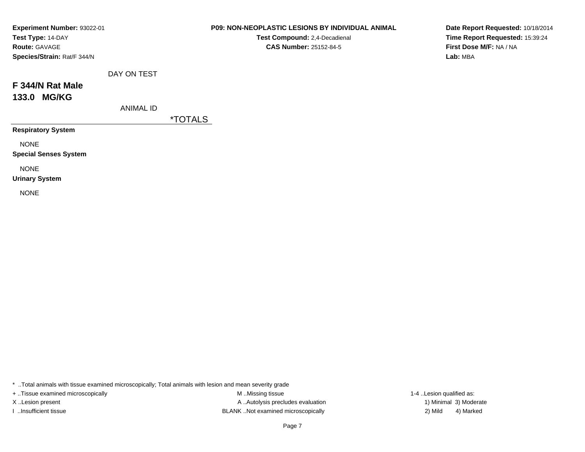| Experiment Number: 93022-01  | <b>P09: NON-NEOPLASTIC LESIONS BY INDIVIDUAL ANIMAL</b><br>Date Report Requested: 10/18/2014 |                       |                               |                                 |  |
|------------------------------|----------------------------------------------------------------------------------------------|-----------------------|-------------------------------|---------------------------------|--|
| Test Type: 14-DAY            |                                                                                              |                       | Test Compound: 2,4-Decadienal | Time Report Requested: 15:39:24 |  |
| <b>Route: GAVAGE</b>         |                                                                                              |                       | <b>CAS Number: 25152-84-5</b> | First Dose M/F: NA / NA         |  |
| Species/Strain: Rat/F 344/N  |                                                                                              |                       |                               | Lab: MBA                        |  |
|                              | DAY ON TEST                                                                                  |                       |                               |                                 |  |
| F 344/N Rat Male             |                                                                                              |                       |                               |                                 |  |
| 133.0 MG/KG                  |                                                                                              |                       |                               |                                 |  |
|                              | <b>ANIMAL ID</b>                                                                             |                       |                               |                                 |  |
|                              |                                                                                              | <i><b>*TOTALS</b></i> |                               |                                 |  |
| <b>Respiratory System</b>    |                                                                                              |                       |                               |                                 |  |
| <b>NONE</b>                  |                                                                                              |                       |                               |                                 |  |
| <b>Special Senses System</b> |                                                                                              |                       |                               |                                 |  |
| <b>NONE</b>                  |                                                                                              |                       |                               |                                 |  |
| <b>Urinary System</b>        |                                                                                              |                       |                               |                                 |  |
| <b>NONE</b>                  |                                                                                              |                       |                               |                                 |  |

+ ..Tissue examined microscopically

M ..Missing tissue X..Lesion present **A ..Autolysis precludes evaluation** A ..Autolysis precludes evaluation 1) Minimal 3) Moderate I ..Insufficient tissue BLANK ..Not examined microscopically 2) Mild 4) Marked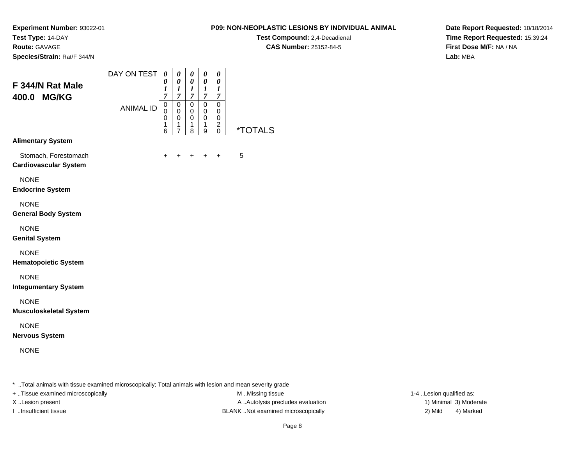**Test Compound:** 2,4-Decadienal **CAS Number:** 25152-84-5

**Date Report Requested:** 10/18/2014**Time Report Requested:** 15:39:24**First Dose M/F:** NA / NA**Lab:** MBA

**Experiment Number:** 93022-01**Test Type:** 14-DAY**Route:** GAVAGE**Species/Strain:** Rat/F 344/N

| F 344/N Rat Male<br>400.0 MG/KG                      | DAY ON TEST<br><b>ANIMAL ID</b> | 0<br>0<br>1<br>$\overline{7}$<br>$\mathbf 0$<br>$\mathbf 0$<br>$\mathbf 0$<br>1<br>6 | 0<br>0<br>1<br>$\overline{7}$<br>$\mathbf 0$<br>$\mathbf 0$<br>0<br>1<br>$\overline{7}$ | 0<br>0<br>$\boldsymbol{l}$<br>$\overline{7}$<br>0<br>0<br>0<br>1<br>8 | 0<br>0<br>$\boldsymbol{l}$<br>$\overline{\mathcal{I}}$<br>$\mathbf 0$<br>0<br>0<br>1<br>9 | 0<br>0<br>1<br>$\overline{7}$<br>$\Omega$<br>0<br>0<br>2<br>$\mathbf{0}$ | <i><b>*TOTALS</b></i> |
|------------------------------------------------------|---------------------------------|--------------------------------------------------------------------------------------|-----------------------------------------------------------------------------------------|-----------------------------------------------------------------------|-------------------------------------------------------------------------------------------|--------------------------------------------------------------------------|-----------------------|
| <b>Alimentary System</b>                             |                                 |                                                                                      |                                                                                         |                                                                       |                                                                                           |                                                                          |                       |
| Stomach, Forestomach<br><b>Cardiovascular System</b> |                                 | +                                                                                    | ٠                                                                                       | +                                                                     | +                                                                                         | $\ddot{}$                                                                | 5                     |
| <b>NONE</b><br><b>Endocrine System</b>               |                                 |                                                                                      |                                                                                         |                                                                       |                                                                                           |                                                                          |                       |
| <b>NONE</b><br><b>General Body System</b>            |                                 |                                                                                      |                                                                                         |                                                                       |                                                                                           |                                                                          |                       |
| <b>NONE</b><br><b>Genital System</b>                 |                                 |                                                                                      |                                                                                         |                                                                       |                                                                                           |                                                                          |                       |
| <b>NONE</b><br><b>Hematopoietic System</b>           |                                 |                                                                                      |                                                                                         |                                                                       |                                                                                           |                                                                          |                       |
| <b>NONE</b><br><b>Integumentary System</b>           |                                 |                                                                                      |                                                                                         |                                                                       |                                                                                           |                                                                          |                       |
| <b>NONE</b><br><b>Musculoskeletal System</b>         |                                 |                                                                                      |                                                                                         |                                                                       |                                                                                           |                                                                          |                       |
| <b>NONE</b><br><b>Nervous System</b>                 |                                 |                                                                                      |                                                                                         |                                                                       |                                                                                           |                                                                          |                       |
| <b>NONE</b>                                          |                                 |                                                                                      |                                                                                         |                                                                       |                                                                                           |                                                                          |                       |

\* ..Total animals with tissue examined microscopically; Total animals with lesion and mean severity grade

+ ..Tissue examined microscopically M ...Missing tissue 1-4 ... M ...Missing tissue

X..Lesion present **A ..Autolysis precludes evaluation** A ..Autolysis precludes evaluation 1) Minimal 3) Moderate I ..Insufficient tissue BLANK ..Not examined microscopically 2) Mild 4) Marked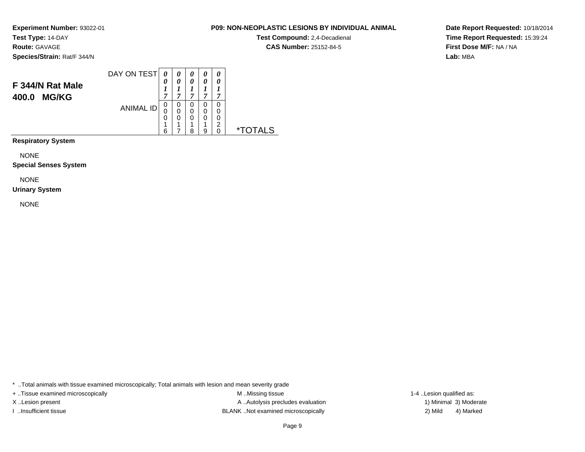**Route:** GAVAGE

**Species/Strain:** Rat/F 344/N

### DAY ON TEST**F 344/N Rat Male400.0 MG/KG**ANIMAL ID*0 0 1 7*0<br>0<br>0<br>1<br>6 *0 0 1 7*0<br>0<br>0<br>1<br>7 *0 0 1 7* 0 0 0 1 8*0 0 1 7* 0 0 0 1 9*0 0 1 7* 00<br>0<br>0<br>0<br>0 0 \*TOTALS

**Respiratory System**

NONE

**Special Senses System**

NONE

# **Urinary System**

NONE

\* ..Total animals with tissue examined microscopically; Total animals with lesion and mean severity grade

+ ..Tissue examined microscopically examined microscopically examined as:  $M$  ..Missing tissue 1-4 ..Lesion qualified as: X..Lesion present **A ..Autolysis precludes evaluation** A ..Autolysis precludes evaluation 1) Minimal 3) Moderate I ..Insufficient tissue BLANK ..Not examined microscopically 2) Mild 4) Marked

Page 9

**Date Report Requested:** 10/18/2014**Time Report Requested:** 15:39:24**First Dose M/F:** NA / NA**Lab:** MBA

## **P09: NON-NEOPLASTIC LESIONS BY INDIVIDUAL ANIMAL**

**Test Compound:** 2,4-Decadienal **CAS Number:** 25152-84-5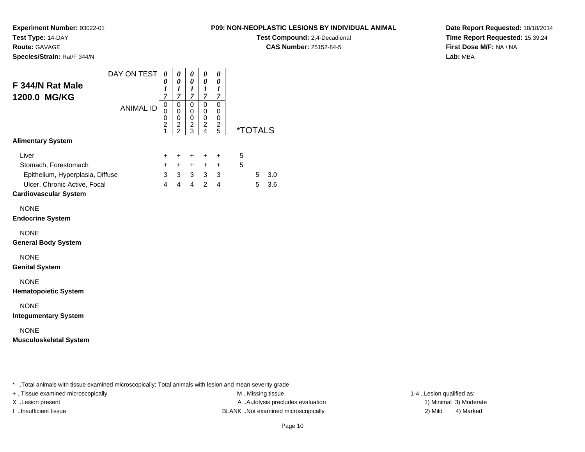**Experiment Number:** 93022-01

**Test Type:** 14-DAY**Route:** GAVAGE

**Species/Strain:** Rat/F 344/N

**P09: NON-NEOPLASTIC LESIONS BY INDIVIDUAL ANIMAL**

**Test Compound:** 2,4-Decadienal **CAS Number:** 25152-84-5

**Date Report Requested:** 10/18/2014**Time Report Requested:** 15:39:24**First Dose M/F:** NA / NA**Lab:** MBA

| F 344/N Rat Male<br>1200.0 MG/KG                             | DAY ON TEST      | 0<br>0<br>1<br>$\overline{7}$                | 0<br>$\boldsymbol{\theta}$<br>$\boldsymbol{l}$<br>$\overline{7}$ | 0<br>0<br>$\boldsymbol{l}$<br>$\overline{7}$       | 0<br>0<br>$\bm{l}$<br>7                                        | 0<br>0<br>1<br>$\overline{7}$ |   |   |                       |
|--------------------------------------------------------------|------------------|----------------------------------------------|------------------------------------------------------------------|----------------------------------------------------|----------------------------------------------------------------|-------------------------------|---|---|-----------------------|
|                                                              | <b>ANIMAL ID</b> | 0<br>0<br>$\mathbf 0$<br>$\overline{c}$<br>1 | $\mathbf 0$<br>0<br>0<br>$\overline{c}$<br>$\bar{2}$             | $\mathsf 0$<br>0<br>$\,0\,$<br>$\overline{c}$<br>3 | $\mathbf 0$<br>$\mathbf 0$<br>$\pmb{0}$<br>$\overline{c}$<br>4 | 0<br>0<br>0<br>2<br>5         |   |   | <i><b>*TOTALS</b></i> |
| <b>Alimentary System</b>                                     |                  |                                              |                                                                  |                                                    |                                                                |                               |   |   |                       |
| Liver                                                        |                  | $\ddot{}$                                    | $\ddot{}$                                                        | $\ddot{}$                                          | $\ddot{}$                                                      | $\ddot{}$                     | 5 |   |                       |
| Stomach, Forestomach                                         |                  | $\ddot{}$                                    | $+$                                                              | $+$                                                |                                                                | $+$ $+$                       | 5 |   |                       |
| Epithelium, Hyperplasia, Diffuse                             |                  | 3 <sup>7</sup>                               |                                                                  |                                                    | $3 \quad 3 \quad 3 \quad 3$                                    |                               |   | 5 | 3.0                   |
| Ulcer, Chronic Active, Focal<br><b>Cardiovascular System</b> |                  | $\overline{4}$                               | $\overline{4}$                                                   | $\overline{4}$                                     | $\mathcal{P}$                                                  | 4                             |   | 5 | 3.6                   |
| <b>NONE</b><br><b>Endocrine System</b>                       |                  |                                              |                                                                  |                                                    |                                                                |                               |   |   |                       |
| <b>NONE</b><br><b>General Body System</b>                    |                  |                                              |                                                                  |                                                    |                                                                |                               |   |   |                       |
| <b>NONE</b><br><b>Genital System</b>                         |                  |                                              |                                                                  |                                                    |                                                                |                               |   |   |                       |
| <b>NONE</b><br><b>Hematopoietic System</b>                   |                  |                                              |                                                                  |                                                    |                                                                |                               |   |   |                       |
| <b>NONE</b><br><b>Integumentary System</b>                   |                  |                                              |                                                                  |                                                    |                                                                |                               |   |   |                       |
| <b>NONE</b><br><b>Musculoskeletal System</b>                 |                  |                                              |                                                                  |                                                    |                                                                |                               |   |   |                       |

\* ..Total animals with tissue examined microscopically; Total animals with lesion and mean severity grade

+ ..Tissue examined microscopically M ...Missing tissue 1-4 ... M ...Missing tissue

X..Lesion present **A ..Autolysis precludes evaluation** A ..Autolysis precludes evaluation 1) Minimal 3) Moderate I ..Insufficient tissue BLANK ..Not examined microscopically 2) Mild 4) Marked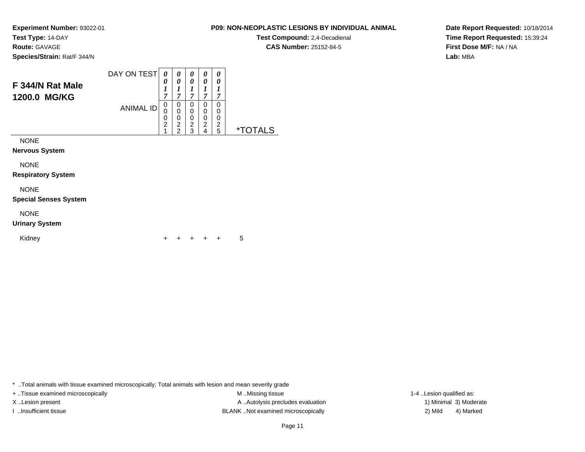**Test Compound:** 2,4-Decadienal **CAS Number:** 25152-84-5

**Date Report Requested:** 10/18/2014**Time Report Requested:** 15:39:24**First Dose M/F:** NA / NA**Lab:** MBA

| F 344/N Rat Male<br>1200.0 MG/KG | DAY ON TEST      | 0<br>0<br>1<br>7                   | 0<br>0<br>1<br>7                                | 0<br>0<br>1<br>7                             | 0<br>0<br>1<br>7                   | 0<br>0<br>1<br>7      |                       |
|----------------------------------|------------------|------------------------------------|-------------------------------------------------|----------------------------------------------|------------------------------------|-----------------------|-----------------------|
|                                  | <b>ANIMAL ID</b> | 0<br>0<br>0<br>$\overline{c}$<br>1 | 0<br>0<br>0<br>$\overline{c}$<br>$\overline{2}$ | 0<br>$\mathbf 0$<br>0<br>$\overline{c}$<br>3 | 0<br>0<br>0<br>$\overline{2}$<br>4 | 0<br>0<br>0<br>2<br>5 | <i><b>*TOTALS</b></i> |
| <b>NONE</b>                      |                  |                                    |                                                 |                                              |                                    |                       |                       |
| <b>Nervous System</b>            |                  |                                    |                                                 |                                              |                                    |                       |                       |
| <b>NONE</b>                      |                  |                                    |                                                 |                                              |                                    |                       |                       |
| <b>Respiratory System</b>        |                  |                                    |                                                 |                                              |                                    |                       |                       |
| <b>NONE</b>                      |                  |                                    |                                                 |                                              |                                    |                       |                       |
| <b>Special Senses System</b>     |                  |                                    |                                                 |                                              |                                    |                       |                       |
| <b>NONE</b>                      |                  |                                    |                                                 |                                              |                                    |                       |                       |

**Urinary System**

| Kidney |  |  |  |  |  | $+ + + + + + 5$ |
|--------|--|--|--|--|--|-----------------|
|--------|--|--|--|--|--|-----------------|

\* ..Total animals with tissue examined microscopically; Total animals with lesion and mean severity grade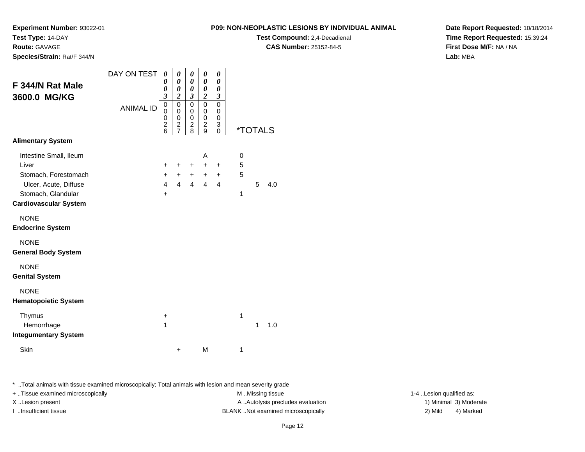**Test Compound:** 2,4-Decadienal **CAS Number:** 25152-84-5

**Date Report Requested:** 10/18/2014**Time Report Requested:** 15:39:24**First Dose M/F:** NA / NA**Lab:** MBA

**Experiment Number:** 93022-01

| F 344/N Rat Male<br>3600.0 MG/KG                                                                                                       | DAY ON TEST<br><b>ANIMAL ID</b> | 0<br>0<br>0<br>$\boldsymbol{\beta}$<br>$\mathbf 0$<br>0<br>0<br>$\overline{\mathbf{c}}$<br>6 | 0<br>0<br>0<br>$\overline{\mathbf{c}}$<br>$\mathbf 0$<br>0<br>0<br>$\overline{c}$<br>$\overline{7}$ | 0<br>0<br>0<br>$\boldsymbol{\beta}$<br>$\mathbf 0$<br>0<br>0<br>$\overline{c}$<br>8 | 0<br>0<br>0<br>$\boldsymbol{2}$<br>$\mathbf 0$<br>0<br>0<br>$\overline{c}$<br>9 | 0<br>0<br>0<br>3<br>0<br>0<br>0<br>3<br>$\Omega$ |                  | *TOTALS |     |
|----------------------------------------------------------------------------------------------------------------------------------------|---------------------------------|----------------------------------------------------------------------------------------------|-----------------------------------------------------------------------------------------------------|-------------------------------------------------------------------------------------|---------------------------------------------------------------------------------|--------------------------------------------------|------------------|---------|-----|
| <b>Alimentary System</b>                                                                                                               |                                 |                                                                                              |                                                                                                     |                                                                                     |                                                                                 |                                                  |                  |         |     |
| Intestine Small, Ileum<br>Liver<br>Stomach, Forestomach<br>Ulcer, Acute, Diffuse<br>Stomach, Glandular<br><b>Cardiovascular System</b> |                                 | ÷<br>+<br>$\overline{\mathbf{4}}$<br>+                                                       | $\pm$<br>$\ddot{}$<br>$\overline{4}$                                                                | $\pm$<br>$+$<br>$\overline{4}$                                                      | A<br>$\ddot{}$<br>$+$<br>4                                                      | $\ddot{}$<br>$\ddot{}$<br>4                      | 0<br>5<br>5<br>1 | 5       | 4.0 |
| <b>NONE</b><br><b>Endocrine System</b>                                                                                                 |                                 |                                                                                              |                                                                                                     |                                                                                     |                                                                                 |                                                  |                  |         |     |
| <b>NONE</b><br><b>General Body System</b>                                                                                              |                                 |                                                                                              |                                                                                                     |                                                                                     |                                                                                 |                                                  |                  |         |     |
| <b>NONE</b><br><b>Genital System</b>                                                                                                   |                                 |                                                                                              |                                                                                                     |                                                                                     |                                                                                 |                                                  |                  |         |     |
| <b>NONE</b><br><b>Hematopoietic System</b>                                                                                             |                                 |                                                                                              |                                                                                                     |                                                                                     |                                                                                 |                                                  |                  |         |     |
| Thymus<br>Hemorrhage<br><b>Integumentary System</b>                                                                                    |                                 | +<br>1                                                                                       |                                                                                                     |                                                                                     |                                                                                 |                                                  | 1                | 1       | 1.0 |
| Skin                                                                                                                                   |                                 |                                                                                              | +                                                                                                   |                                                                                     | М                                                                               |                                                  | 1                |         |     |

\* ..Total animals with tissue examined microscopically; Total animals with lesion and mean severity grade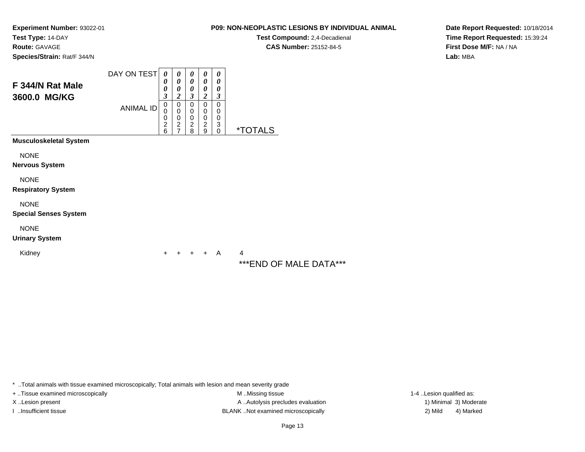**Test Compound:** 2,4-Decadienal **CAS Number:** 25152-84-5

**Date Report Requested:** 10/18/2014**Time Report Requested:** 15:39:24**First Dose M/F:** NA / NA**Lab:** MBA

**Experiment Number:** 93022-01**Test Type:** 14-DAY**Route:** GAVAGE**Species/Strain:** Rat/F 344/N

| F 344/N Rat Male<br>3600.0 MG/KG            | DAY ON TEST      | 0<br>0<br>0<br>3                       | 0<br>0<br>0<br>$\boldsymbol{2}$                                                     | 0<br>0<br>0<br>3                                    | 0<br>0<br>0<br>$\boldsymbol{2}$                              | 0<br>0<br>0<br>3                |                                             |
|---------------------------------------------|------------------|----------------------------------------|-------------------------------------------------------------------------------------|-----------------------------------------------------|--------------------------------------------------------------|---------------------------------|---------------------------------------------|
|                                             | <b>ANIMAL ID</b> | $\mathbf 0$<br>0<br>0<br>$\frac{2}{6}$ | $\Omega$<br>$\mathbf 0$<br>$\mathbf 0$<br>$\overline{\mathbf{c}}$<br>$\overline{7}$ | $\mathbf 0$<br>$\,0\,$<br>$\bar{0}$<br>$_{\rm 2}^2$ | $\Omega$<br>0<br>$\mathbf 0$<br>$\overline{\mathbf{c}}$<br>9 | 0<br>0<br>0<br>3<br>$\mathbf 0$ | <i><b>*TOTALS</b></i>                       |
| <b>Musculoskeletal System</b>               |                  |                                        |                                                                                     |                                                     |                                                              |                                 |                                             |
| <b>NONE</b><br><b>Nervous System</b>        |                  |                                        |                                                                                     |                                                     |                                                              |                                 |                                             |
| <b>NONE</b><br><b>Respiratory System</b>    |                  |                                        |                                                                                     |                                                     |                                                              |                                 |                                             |
| <b>NONE</b><br><b>Special Senses System</b> |                  |                                        |                                                                                     |                                                     |                                                              |                                 |                                             |
| <b>NONE</b><br><b>Urinary System</b>        |                  |                                        |                                                                                     |                                                     |                                                              |                                 |                                             |
| Kidney                                      |                  | +                                      |                                                                                     |                                                     | $+$                                                          | A                               | 4<br>. <b>.</b><br>$\overline{\phantom{a}}$ |

\*\*\*END OF MALE DATA\*\*\*

\* ..Total animals with tissue examined microscopically; Total animals with lesion and mean severity grade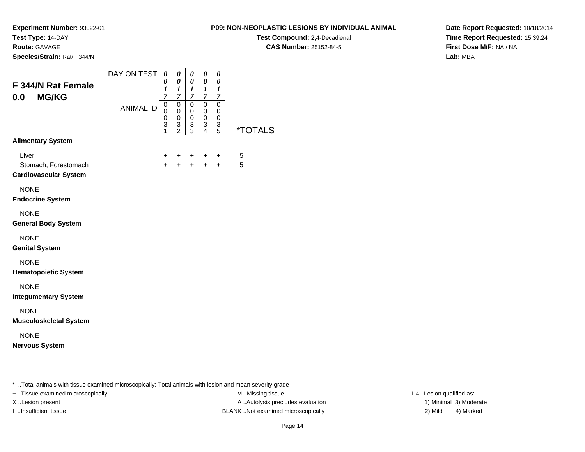**Route:** GAVAGE

**Species/Strain:** Rat/F 344/N

# **P09: NON-NEOPLASTIC LESIONS BY INDIVIDUAL ANIMAL**

**Test Compound:** 2,4-Decadienal **CAS Number:** 25152-84-5

**Date Report Requested:** 10/18/2014**Time Report Requested:** 15:39:24**First Dose M/F:** NA / NA**Lab:** MBA

| F 344/N Rat Female<br><b>MG/KG</b><br>0.0                     | DAY ON TEST      | 0<br>0<br>$\boldsymbol{l}$<br>7 | 0<br>0<br>$\boldsymbol{l}$<br>$\overline{7}$ | 0<br>0<br>$\boldsymbol{l}$<br>$\overline{7}$ | 0<br>0<br>$\boldsymbol{l}$<br>7 | 0<br>0<br>1<br>$\overline{7}$ |                       |
|---------------------------------------------------------------|------------------|---------------------------------|----------------------------------------------|----------------------------------------------|---------------------------------|-------------------------------|-----------------------|
|                                                               | <b>ANIMAL ID</b> | 0<br>$\mathbf 0$<br>0<br>3<br>1 | 0<br>0<br>0<br>3<br>$\overline{2}$           | $\mathbf 0$<br>0<br>0<br>3<br>$\overline{3}$ | 0<br>0<br>0<br>3<br>4           | 0<br>0<br>0<br>3<br>5         | <i><b>*TOTALS</b></i> |
| <b>Alimentary System</b>                                      |                  |                                 |                                              |                                              |                                 |                               |                       |
| Liver<br>Stomach, Forestomach<br><b>Cardiovascular System</b> |                  | $\ddot{}$<br>$+$                | +<br>$+$                                     | $\pm$<br>$+$                                 | $\ddot{}$<br>$+$                | $\ddot{}$<br>$+$              | 5<br>5                |
| <b>NONE</b><br><b>Endocrine System</b>                        |                  |                                 |                                              |                                              |                                 |                               |                       |
| <b>NONE</b><br><b>General Body System</b>                     |                  |                                 |                                              |                                              |                                 |                               |                       |
| <b>NONE</b><br><b>Genital System</b>                          |                  |                                 |                                              |                                              |                                 |                               |                       |
| <b>NONE</b><br><b>Hematopoietic System</b>                    |                  |                                 |                                              |                                              |                                 |                               |                       |
| <b>NONE</b><br><b>Integumentary System</b>                    |                  |                                 |                                              |                                              |                                 |                               |                       |
| <b>NONE</b><br><b>Musculoskeletal System</b>                  |                  |                                 |                                              |                                              |                                 |                               |                       |
| <b>NONE</b><br><b>Nervous System</b>                          |                  |                                 |                                              |                                              |                                 |                               |                       |

\* ..Total animals with tissue examined microscopically; Total animals with lesion and mean severity grade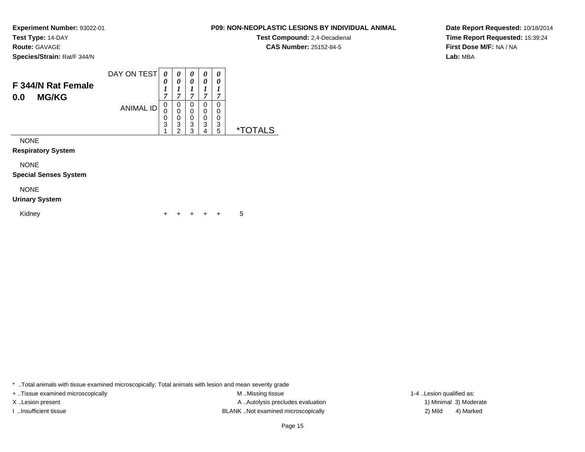**Route:** GAVAGE

**Species/Strain:** Rat/F 344/N

### DAY ON TEST**F 344/N Rat Female0.0 MG/KG**ANIMAL ID*0 0 1 7*0<br>0<br>0<br>3<br>1 *0 0 1 7*0<br>0<br>0<br>3<br>2 *0 0 1 7* 0 0 0 3 3*0 0 1 7* 0 0 0 3 4*0 0 1 7* 0 0 0 3 5 \*TOTALS

NONE

**Respiratory System**

NONE

**Special Senses System**

# NONE

# **Urinary System**

Kidney $\mathsf y$ <sup>+</sup> <sup>+</sup> <sup>+</sup> + 5

\* ..Total animals with tissue examined microscopically; Total animals with lesion and mean severity grade

+ ..Tissue examined microscopically examined microscopically examined as:  $M$  ..Missing tissue 1-4 ..Lesion qualified as: X..Lesion present **A ..Autolysis precludes evaluation** A ..Autolysis precludes evaluation 1) Minimal 3) Moderate I ..Insufficient tissue BLANK ..Not examined microscopically 2) Mild 4) Marked

### Page 15

**Date Report Requested:** 10/18/2014**Time Report Requested:** 15:39:24**First Dose M/F:** NA / NA**Lab:** MBA

# **P09: NON-NEOPLASTIC LESIONS BY INDIVIDUAL ANIMAL**

**Test Compound:** 2,4-Decadienal **CAS Number:** 25152-84-5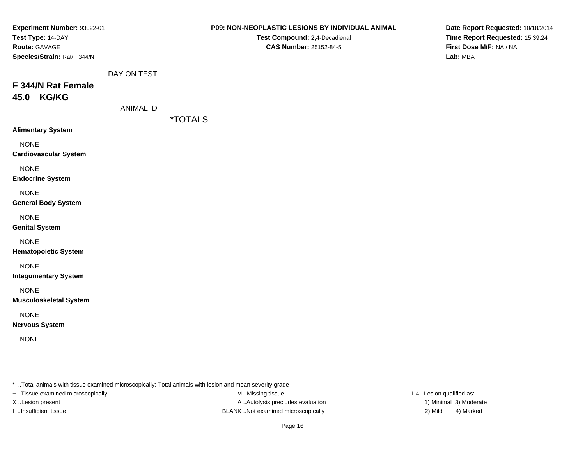| Experiment Number: 93022-01          |                  | P09: NON-NEOPLASTIC LESIONS BY INDIVIDUAL ANIMAL | Date Report Requested: 10/18/2014 |
|--------------------------------------|------------------|--------------------------------------------------|-----------------------------------|
| Test Type: 14-DAY                    |                  | Test Compound: 2,4-Decadienal                    | Time Report Requested: 15:39:24   |
| Route: GAVAGE                        |                  | <b>CAS Number: 25152-84-5</b>                    | First Dose M/F: NA / NA           |
| Species/Strain: Rat/F 344/N          |                  |                                                  | Lab: MBA                          |
|                                      | DAY ON TEST      |                                                  |                                   |
| F 344/N Rat Female                   |                  |                                                  |                                   |
| 45.0 KG/KG                           |                  |                                                  |                                   |
|                                      | <b>ANIMAL ID</b> |                                                  |                                   |
|                                      |                  | <i><b>*TOTALS</b></i>                            |                                   |
| <b>Alimentary System</b>             |                  |                                                  |                                   |
| <b>NONE</b>                          |                  |                                                  |                                   |
| <b>Cardiovascular System</b>         |                  |                                                  |                                   |
| <b>NONE</b>                          |                  |                                                  |                                   |
| <b>Endocrine System</b>              |                  |                                                  |                                   |
| <b>NONE</b>                          |                  |                                                  |                                   |
| <b>General Body System</b>           |                  |                                                  |                                   |
|                                      |                  |                                                  |                                   |
| <b>NONE</b><br><b>Genital System</b> |                  |                                                  |                                   |
|                                      |                  |                                                  |                                   |
| <b>NONE</b>                          |                  |                                                  |                                   |
| <b>Hematopoietic System</b>          |                  |                                                  |                                   |
| <b>NONE</b>                          |                  |                                                  |                                   |
| <b>Integumentary System</b>          |                  |                                                  |                                   |
| <b>NONE</b>                          |                  |                                                  |                                   |
| <b>Musculoskeletal System</b>        |                  |                                                  |                                   |
| <b>NONE</b>                          |                  |                                                  |                                   |
| <b>Nervous System</b>                |                  |                                                  |                                   |
| <b>NONE</b>                          |                  |                                                  |                                   |
|                                      |                  |                                                  |                                   |
|                                      |                  |                                                  |                                   |
|                                      |                  |                                                  |                                   |

+ ..Tissue examined microscopically

M ..Missing tissue X..Lesion present **A ..Autolysis precludes evaluation** A ..Autolysis precludes evaluation 1) Minimal 3) Moderate I ..Insufficient tissue BLANK ..Not examined microscopically 2) Mild 4) Marked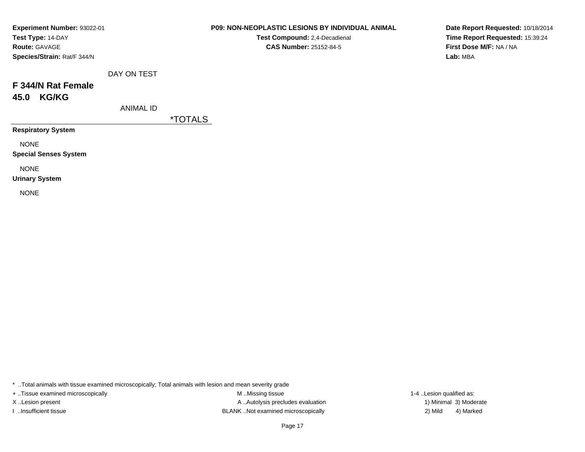| Experiment Number: 93022-01 |
|-----------------------------|
| Test Type: 14-DAY           |
| <b>Route: GAVAGE</b>        |
| Species/Strain: Rat/F 344/N |

**Test Compound:** 2,4-Decadienal **CAS Number:** 25152-84-5

**Date Report Requested:** 10/18/2014**Time Report Requested:** 15:39:24**First Dose M/F:** NA / NA**Lab:** MBA

|  | DAY ON TEST |
|--|-------------|
|  |             |

# **F 344/N Rat Female45.0 KG/KG**

ANIMAL ID

\*TOTALS

**Respiratory System**

NONE

**Special Senses System**

NONE

**Urinary System**

NONE

\* ..Total animals with tissue examined microscopically; Total animals with lesion and mean severity grade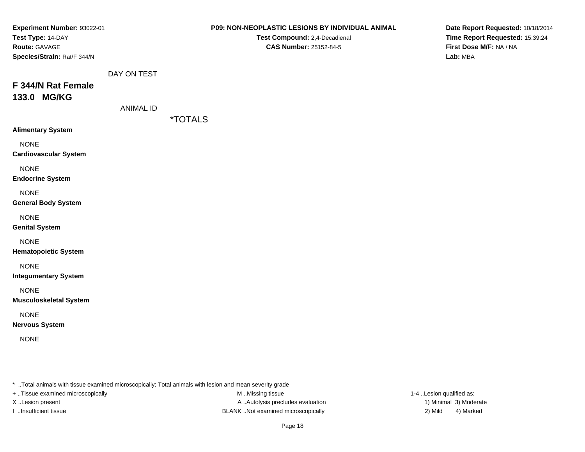| Experiment Number: 93022-01   |                  | P09: NON-NEOPLASTIC LESIONS BY INDIVIDUAL ANIMAL | Date Report Requested: 10/18/2014 |
|-------------------------------|------------------|--------------------------------------------------|-----------------------------------|
| Test Type: 14-DAY             |                  | Test Compound: 2,4-Decadienal                    | Time Report Requested: 15:39:24   |
| Route: GAVAGE                 |                  | <b>CAS Number: 25152-84-5</b>                    | First Dose M/F: NA / NA           |
| Species/Strain: Rat/F 344/N   |                  |                                                  | Lab: MBA                          |
|                               | DAY ON TEST      |                                                  |                                   |
| F 344/N Rat Female            |                  |                                                  |                                   |
| 133.0 MG/KG                   |                  |                                                  |                                   |
|                               | <b>ANIMAL ID</b> |                                                  |                                   |
|                               |                  | <i><b>*TOTALS</b></i>                            |                                   |
| <b>Alimentary System</b>      |                  |                                                  |                                   |
| <b>NONE</b>                   |                  |                                                  |                                   |
| <b>Cardiovascular System</b>  |                  |                                                  |                                   |
|                               |                  |                                                  |                                   |
| <b>NONE</b>                   |                  |                                                  |                                   |
| <b>Endocrine System</b>       |                  |                                                  |                                   |
| <b>NONE</b>                   |                  |                                                  |                                   |
| <b>General Body System</b>    |                  |                                                  |                                   |
| <b>NONE</b>                   |                  |                                                  |                                   |
| <b>Genital System</b>         |                  |                                                  |                                   |
|                               |                  |                                                  |                                   |
| <b>NONE</b>                   |                  |                                                  |                                   |
| <b>Hematopoietic System</b>   |                  |                                                  |                                   |
| <b>NONE</b>                   |                  |                                                  |                                   |
| <b>Integumentary System</b>   |                  |                                                  |                                   |
|                               |                  |                                                  |                                   |
| <b>NONE</b>                   |                  |                                                  |                                   |
| <b>Musculoskeletal System</b> |                  |                                                  |                                   |
| <b>NONE</b>                   |                  |                                                  |                                   |
| <b>Nervous System</b>         |                  |                                                  |                                   |
| <b>NONE</b>                   |                  |                                                  |                                   |
|                               |                  |                                                  |                                   |
|                               |                  |                                                  |                                   |
|                               |                  |                                                  |                                   |

+ ..Tissue examined microscopically

M ..Missing tissue X..Lesion present **A ..Autolysis precludes evaluation** A ..Autolysis precludes evaluation 1) Minimal 3) Moderate I ..Insufficient tissue BLANK ..Not examined microscopically 2) Mild 4) Marked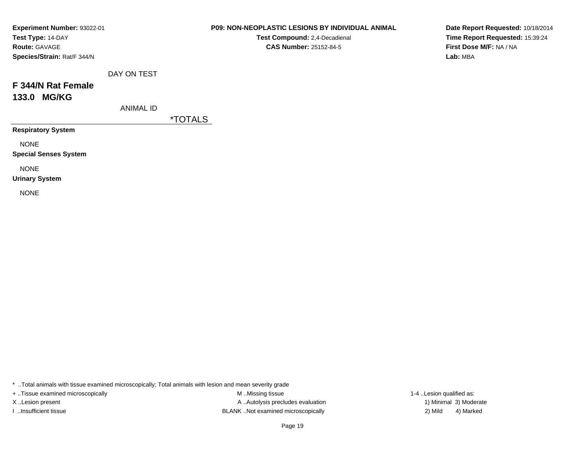| Experiment Number: 93022-01 |
|-----------------------------|
| Test Type: 14-DAY           |
| <b>Route: GAVAGE</b>        |
| Species/Strain: Rat/F 344/N |

**Test Compound:** 2,4-Decadienal **CAS Number:** 25152-84-5

**Date Report Requested:** 10/18/2014**Time Report Requested:** 15:39:24**First Dose M/F:** NA / NA**Lab:** MBA

|  | DAY ON TEST |
|--|-------------|
|  |             |

# **F 344/N Rat Female133.0 MG/KG**

ANIMAL ID

\*TOTALS

**Respiratory System**

NONE

**Special Senses System**

NONE

**Urinary System**

NONE

\* ..Total animals with tissue examined microscopically; Total animals with lesion and mean severity grade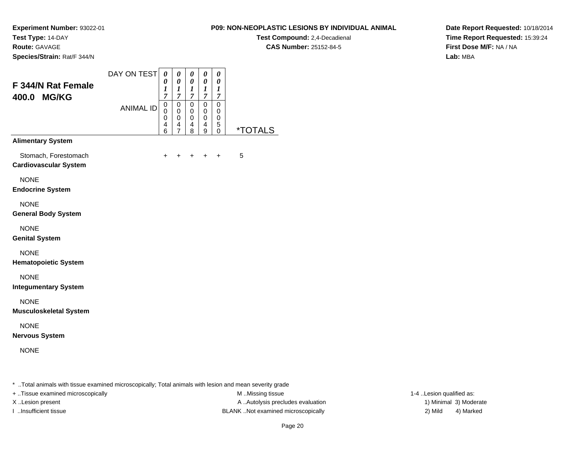**Test Compound:** 2,4-Decadienal **CAS Number:** 25152-84-5

**Date Report Requested:** 10/18/2014**Time Report Requested:** 15:39:24**First Dose M/F:** NA / NA**Lab:** MBA

**Experiment Number:** 93022-01**Test Type:** 14-DAY**Route:** GAVAGE**Species/Strain:** Rat/F 344/N

| F 344/N Rat Female<br>400.0 MG/KG                    | DAY ON TEST<br><b>ANIMAL ID</b> | 0<br>$\boldsymbol{\theta}$<br>1<br>7<br>0<br>0<br>0<br>4<br>6 | 0<br>0<br>1<br>$\overline{7}$<br>0<br>$\mathbf 0$<br>0<br>4<br>$\overline{7}$ | 0<br>0<br>1<br>$\overline{7}$<br>0<br>0<br>0<br>4<br>8 | 0<br>$\boldsymbol{\theta}$<br>$\boldsymbol{l}$<br>$\overline{7}$<br>$\mathbf 0$<br>0<br>0<br>4<br>9 | 0<br>0<br>1<br>$\overline{7}$<br>$\Omega$<br>0<br>0<br>5<br>$\mathbf{0}$ | <i><b>*TOTALS</b></i> |
|------------------------------------------------------|---------------------------------|---------------------------------------------------------------|-------------------------------------------------------------------------------|--------------------------------------------------------|-----------------------------------------------------------------------------------------------------|--------------------------------------------------------------------------|-----------------------|
| <b>Alimentary System</b>                             |                                 |                                                               |                                                                               |                                                        |                                                                                                     |                                                                          |                       |
| Stomach, Forestomach<br><b>Cardiovascular System</b> |                                 | ٠                                                             |                                                                               | ÷                                                      | ÷                                                                                                   | ÷                                                                        | 5                     |
| <b>NONE</b><br><b>Endocrine System</b>               |                                 |                                                               |                                                                               |                                                        |                                                                                                     |                                                                          |                       |
| <b>NONE</b><br><b>General Body System</b>            |                                 |                                                               |                                                                               |                                                        |                                                                                                     |                                                                          |                       |
| <b>NONE</b><br><b>Genital System</b>                 |                                 |                                                               |                                                                               |                                                        |                                                                                                     |                                                                          |                       |
| <b>NONE</b><br><b>Hematopoietic System</b>           |                                 |                                                               |                                                                               |                                                        |                                                                                                     |                                                                          |                       |
| <b>NONE</b><br><b>Integumentary System</b>           |                                 |                                                               |                                                                               |                                                        |                                                                                                     |                                                                          |                       |
| <b>NONE</b><br><b>Musculoskeletal System</b>         |                                 |                                                               |                                                                               |                                                        |                                                                                                     |                                                                          |                       |
| <b>NONE</b><br><b>Nervous System</b>                 |                                 |                                                               |                                                                               |                                                        |                                                                                                     |                                                                          |                       |
| <b>NONE</b>                                          |                                 |                                                               |                                                                               |                                                        |                                                                                                     |                                                                          |                       |

\* ..Total animals with tissue examined microscopically; Total animals with lesion and mean severity grade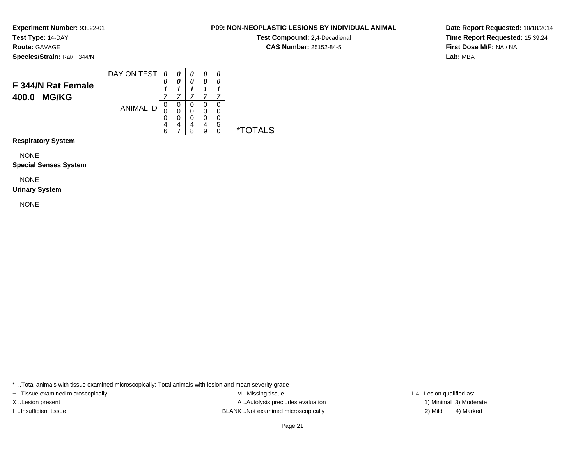**Route:** GAVAGE

**Species/Strain:** Rat/F 344/N

### DAY ON TEST**F 344/N Rat Female400.0 MG/KG**ANIMAL ID*0 0 1 7*0<br>0<br>0<br>6<br>6 *0 0 1 7*0<br>0<br>0<br>7<br>7 *0 0 1 7* 0 0 0 4 8*0 0 1 7* 0 0 0 4 9*0 0 1 7* 0 0 0 5 0 \*TOTALS

**Respiratory System**

NONE

**Special Senses System**

NONE

# **Urinary System**

NONE

\* ..Total animals with tissue examined microscopically; Total animals with lesion and mean severity grade

+ ..Tissue examined microscopically examined microscopically examined as:  $M$  ..Missing tissue 1-4 ..Lesion qualified as: X..Lesion present **A ..Autolysis precludes evaluation** A ..Autolysis precludes evaluation 1) Minimal 3) Moderate I ..Insufficient tissue BLANK ..Not examined microscopically 2) Mild 4) Marked

# Page 21

**Date Report Requested:** 10/18/2014**Time Report Requested:** 15:39:24**First Dose M/F:** NA / NA**Lab:** MBA

# **P09: NON-NEOPLASTIC LESIONS BY INDIVIDUAL ANIMAL**

**Test Compound:** 2,4-Decadienal **CAS Number:** 25152-84-5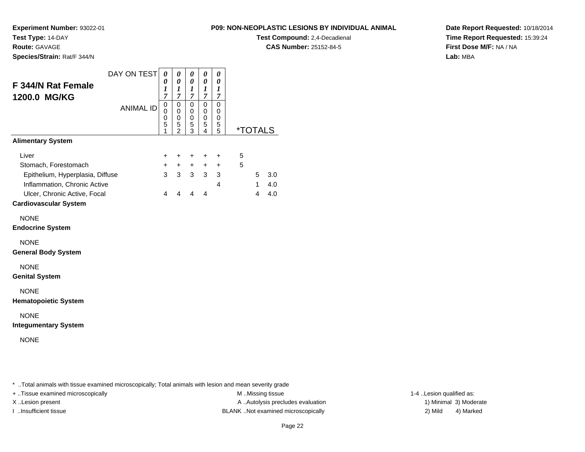**Experiment Number:** 93022-01

**Test Type:** 14-DAY**Route:** GAVAGE

**Species/Strain:** Rat/F 344/N

# **P09: NON-NEOPLASTIC LESIONS BY INDIVIDUAL ANIMAL**

**Test Compound:** 2,4-Decadienal **CAS Number:** 25152-84-5

**Date Report Requested:** 10/18/2014**Time Report Requested:** 15:39:24**First Dose M/F:** NA / NA**Lab:** MBA

|                                  | DAY ON TEST      | 0                     | 0                     | 0                                         | 0                | 0             |   |                       |     |
|----------------------------------|------------------|-----------------------|-----------------------|-------------------------------------------|------------------|---------------|---|-----------------------|-----|
| F 344/N Rat Female               |                  | 0<br>$\boldsymbol{l}$ | 0<br>$\boldsymbol{l}$ | $\boldsymbol{\theta}$<br>$\boldsymbol{l}$ | 0<br>1           | 0<br>1        |   |                       |     |
| 1200.0 MG/KG                     |                  | 7<br>$\mathbf 0$      | 7<br>$\mathbf 0$      | $\overline{7}$<br>$\mathbf 0$             | 7<br>$\mathbf 0$ | 7<br>0        |   |                       |     |
|                                  | <b>ANIMAL ID</b> | 0<br>0                | 0<br>0                | 0<br>0                                    | 0<br>0           | 0<br>0        |   |                       |     |
|                                  |                  | 5<br>1                | 5<br>$\mathfrak{p}$   | 5<br>3                                    | 5<br>4           | $\frac{5}{5}$ |   | <i><b>*TOTALS</b></i> |     |
| <b>Alimentary System</b>         |                  |                       |                       |                                           |                  |               |   |                       |     |
| Liver                            |                  | ٠                     | +                     | ÷                                         | $\ddot{}$        | ÷             | 5 |                       |     |
| Stomach, Forestomach             |                  | $+$                   | $+$                   | $+$                                       | $\ddot{}$        | $\ddot{}$     | 5 |                       |     |
| Epithelium, Hyperplasia, Diffuse |                  | $\mathbf{3}$          | 3 <sup>1</sup>        | 3 <sup>1</sup>                            | 3 <sup>1</sup>   | 3             |   | 5                     | 3.0 |
| Inflammation, Chronic Active     |                  |                       |                       |                                           |                  | 4             |   | $\mathbf{1}$          | 4.0 |
| Ulcer, Chronic Active, Focal     |                  | 4                     | $\overline{4}$        | 4                                         | 4                |               |   | 4                     | 4.0 |
| <b>Cardiovascular System</b>     |                  |                       |                       |                                           |                  |               |   |                       |     |
| <b>NONE</b>                      |                  |                       |                       |                                           |                  |               |   |                       |     |
| <b>Endocrine System</b>          |                  |                       |                       |                                           |                  |               |   |                       |     |
| <b>NONE</b>                      |                  |                       |                       |                                           |                  |               |   |                       |     |
| <b>General Body System</b>       |                  |                       |                       |                                           |                  |               |   |                       |     |
| <b>NONE</b>                      |                  |                       |                       |                                           |                  |               |   |                       |     |
| <b>Genital System</b>            |                  |                       |                       |                                           |                  |               |   |                       |     |
| <b>NONE</b>                      |                  |                       |                       |                                           |                  |               |   |                       |     |
| <b>Hematopoietic System</b>      |                  |                       |                       |                                           |                  |               |   |                       |     |
| <b>NONE</b>                      |                  |                       |                       |                                           |                  |               |   |                       |     |
| <b>Integumentary System</b>      |                  |                       |                       |                                           |                  |               |   |                       |     |
|                                  |                  |                       |                       |                                           |                  |               |   |                       |     |

NONE

\* ..Total animals with tissue examined microscopically; Total animals with lesion and mean severity grade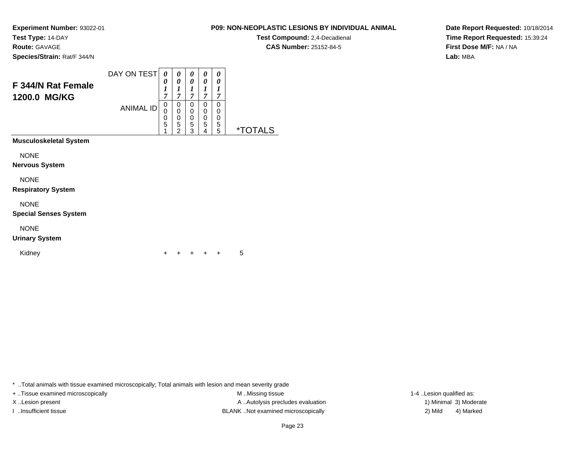**Test Compound:** 2,4-Decadienal **CAS Number:** 25152-84-5

**Date Report Requested:** 10/18/2014**Time Report Requested:** 15:39:24**First Dose M/F:** NA / NA**Lab:** MBA

**Experiment Number:** 93022-01**Test Type:** 14-DAY**Route:** GAVAGE**Species/Strain:** Rat/F 344/N

| <b>F 344/N Rat Female</b><br>1200.0 MG/KG   | DAY ON TEST<br><b>ANIMAL ID</b> | 0<br>0<br>1<br>$\overline{7}$<br>0<br>0<br>0 | 0<br>0<br>1<br>$\overline{7}$<br>0<br>0<br>0 | 0<br>0<br>1<br>$\overline{7}$<br>0<br>0<br>$\boldsymbol{0}$ | 0<br>0<br>1<br>7<br>0<br>0<br>0 | 0<br>0<br>1<br>7<br>0<br>0<br>0 |                       |
|---------------------------------------------|---------------------------------|----------------------------------------------|----------------------------------------------|-------------------------------------------------------------|---------------------------------|---------------------------------|-----------------------|
| Musculoskeletal System                      |                                 | $\overline{5}$<br>1                          | 5<br>$\mathcal{P}$                           | 5<br>3                                                      | 5<br>4                          | 5<br>5                          | <i><b>*TOTALS</b></i> |
|                                             |                                 |                                              |                                              |                                                             |                                 |                                 |                       |
| <b>NONE</b><br>Nervous System               |                                 |                                              |                                              |                                                             |                                 |                                 |                       |
| <b>NONE</b><br><b>Respiratory System</b>    |                                 |                                              |                                              |                                                             |                                 |                                 |                       |
| <b>NONE</b><br><b>Special Senses System</b> |                                 |                                              |                                              |                                                             |                                 |                                 |                       |
| <b>NONE</b>                                 |                                 |                                              |                                              |                                                             |                                 |                                 |                       |

# **Urinary System**

Kidney

 <sup>+</sup><sup>+</sup> <sup>+</sup> <sup>+</sup> + 5

\* ..Total animals with tissue examined microscopically; Total animals with lesion and mean severity grade

+ ..Tissue examined microscopically examined microscopically examined as:  $M$  ..Missing tissue 1-4 ..Lesion qualified as: X..Lesion present **A ..Autolysis precludes evaluation** A ..Autolysis precludes evaluation 1) Minimal 3) Moderate I ..Insufficient tissue 2) Mild and the SLANK ..Not examined microscopically and the SLANK ... Insufficient tissue

4) Marked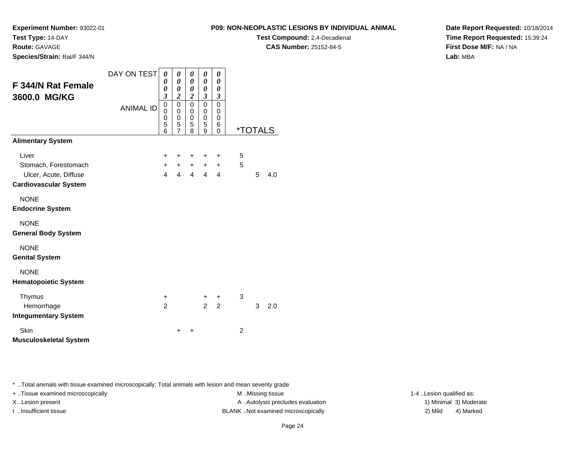**Route:** GAVAGE

**Species/Strain:** Rat/F 344/N

**P09: NON-NEOPLASTIC LESIONS BY INDIVIDUAL ANIMAL**

**Test Compound:** 2,4-Decadienal **CAS Number:** 25152-84-5

**Date Report Requested:** 10/18/2014**Time Report Requested:** 15:39:24**First Dose M/F:** NA / NA**Lab:** MBA

| F 344/N Rat Female<br>3600.0 MG/KG                                                     | DAY ON TEST<br><b>ANIMAL ID</b> | 0<br>0<br>$\boldsymbol{\theta}$<br>$\overline{\mathbf{3}}$<br>$\mathbf 0$<br>$\mathbf 0$<br>0<br>5<br>$\overline{6}$ | 0<br>0<br>0<br>$\boldsymbol{2}$<br>$\mathbf 0$<br>$\mathbf 0$<br>0<br>5<br>$\overline{7}$ | 0<br>$\boldsymbol{\theta}$<br>$\boldsymbol{\theta}$<br>$\boldsymbol{2}$<br>$\mathbf 0$<br>$\mathbf 0$<br>$\pmb{0}$<br>5<br>8 | 0<br>0<br>0<br>3<br>$\mathbf 0$<br>0<br>0<br>5<br>9 | 0<br>0<br>0<br>$\boldsymbol{\beta}$<br>0<br>0<br>0<br>6<br>$\Omega$ |                | <i><b>*TOTALS</b></i> |     |
|----------------------------------------------------------------------------------------|---------------------------------|----------------------------------------------------------------------------------------------------------------------|-------------------------------------------------------------------------------------------|------------------------------------------------------------------------------------------------------------------------------|-----------------------------------------------------|---------------------------------------------------------------------|----------------|-----------------------|-----|
| <b>Alimentary System</b>                                                               |                                 |                                                                                                                      |                                                                                           |                                                                                                                              |                                                     |                                                                     |                |                       |     |
| Liver<br>Stomach, Forestomach<br>Ulcer, Acute, Diffuse<br><b>Cardiovascular System</b> |                                 | +<br>$\ddot{}$<br>$\overline{4}$                                                                                     | +<br>$\overline{4}$                                                                       | $\pm$<br>$+$ $+$<br>$\overline{4}$                                                                                           | ٠<br>$\overline{4}$                                 | +<br>$+$ $+$<br>4                                                   | 5<br>5         | 5                     | 4.0 |
| <b>NONE</b><br><b>Endocrine System</b>                                                 |                                 |                                                                                                                      |                                                                                           |                                                                                                                              |                                                     |                                                                     |                |                       |     |
| <b>NONE</b><br><b>General Body System</b>                                              |                                 |                                                                                                                      |                                                                                           |                                                                                                                              |                                                     |                                                                     |                |                       |     |
| <b>NONE</b><br><b>Genital System</b>                                                   |                                 |                                                                                                                      |                                                                                           |                                                                                                                              |                                                     |                                                                     |                |                       |     |
| <b>NONE</b><br><b>Hematopoietic System</b>                                             |                                 |                                                                                                                      |                                                                                           |                                                                                                                              |                                                     |                                                                     |                |                       |     |
| Thymus<br>Hemorrhage<br><b>Integumentary System</b>                                    |                                 | +<br>$\overline{2}$                                                                                                  |                                                                                           |                                                                                                                              | $\pm$<br>$\overline{a}$                             | $\ddot{}$<br>$\overline{2}$                                         | 3              | 3                     | 2.0 |
| Skin<br><b>Musculoskeletal System</b>                                                  |                                 |                                                                                                                      | ٠                                                                                         | +                                                                                                                            |                                                     |                                                                     | $\overline{c}$ |                       |     |

\* ..Total animals with tissue examined microscopically; Total animals with lesion and mean severity grade